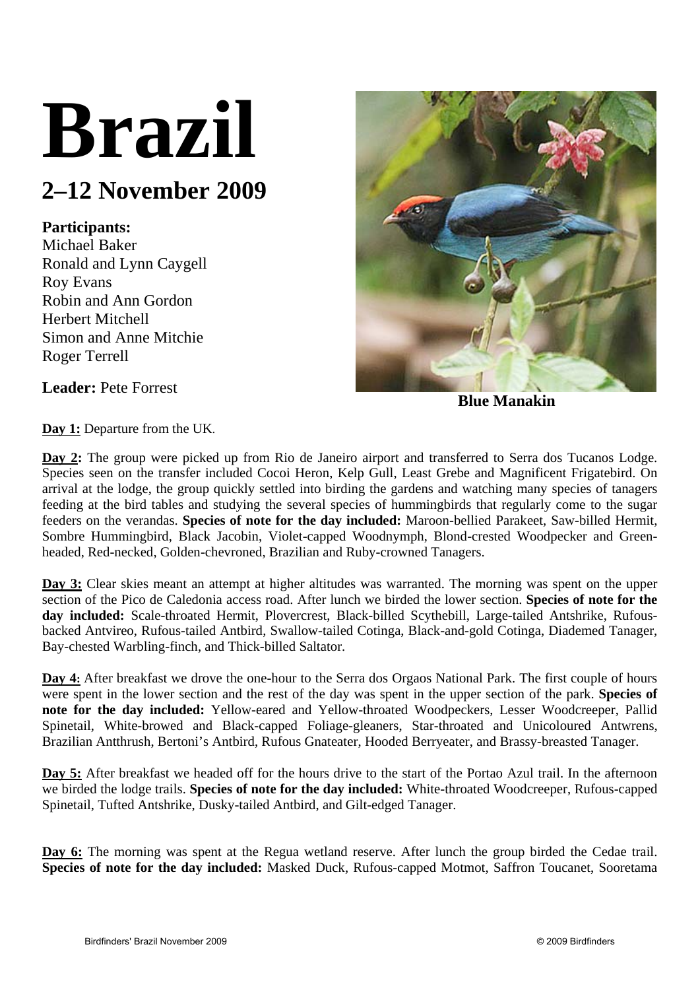# **Brazil**

## **2–12 November 2009**

### **Participants:**

Michael Baker Ronald and Lynn Caygell Roy Evans Robin and Ann Gordon Herbert Mitchell Simon and Anne Mitchie Roger Terrell



**Blue Manakin** 

**Leader:** Pete Forrest

**Day 1:** Departure from the UK.

**Day 2:** The group were picked up from Rio de Janeiro airport and transferred to Serra dos Tucanos Lodge. Species seen on the transfer included Cocoi Heron, Kelp Gull, Least Grebe and Magnificent Frigatebird. On arrival at the lodge, the group quickly settled into birding the gardens and watching many species of tanagers feeding at the bird tables and studying the several species of hummingbirds that regularly come to the sugar feeders on the verandas. **Species of note for the day included:** Maroon-bellied Parakeet, Saw-billed Hermit, Sombre Hummingbird, Black Jacobin, Violet-capped Woodnymph, Blond-crested Woodpecker and Greenheaded, Red-necked, Golden-chevroned, Brazilian and Ruby-crowned Tanagers.

**Day 3:** Clear skies meant an attempt at higher altitudes was warranted. The morning was spent on the upper section of the Pico de Caledonia access road. After lunch we birded the lower section. **Species of note for the day included:** Scale-throated Hermit, Plovercrest, Black-billed Scythebill, Large-tailed Antshrike, Rufousbacked Antvireo, Rufous-tailed Antbird, Swallow-tailed Cotinga, Black-and-gold Cotinga, Diademed Tanager, Bay-chested Warbling-finch, and Thick-billed Saltator.

**Day 4:** After breakfast we drove the one-hour to the Serra dos Orgaos National Park. The first couple of hours were spent in the lower section and the rest of the day was spent in the upper section of the park. **Species of note for the day included:** Yellow-eared and Yellow-throated Woodpeckers, Lesser Woodcreeper, Pallid Spinetail, White-browed and Black-capped Foliage-gleaners, Star-throated and Unicoloured Antwrens, Brazilian Antthrush, Bertoni's Antbird, Rufous Gnateater, Hooded Berryeater, and Brassy-breasted Tanager.

Day 5: After breakfast we headed off for the hours drive to the start of the Portao Azul trail. In the afternoon we birded the lodge trails. **Species of note for the day included:** White-throated Woodcreeper, Rufous-capped Spinetail, Tufted Antshrike, Dusky-tailed Antbird, and Gilt-edged Tanager.

Day 6: The morning was spent at the Regua wetland reserve. After lunch the group birded the Cedae trail. **Species of note for the day included:** Masked Duck, Rufous-capped Motmot, Saffron Toucanet, Sooretama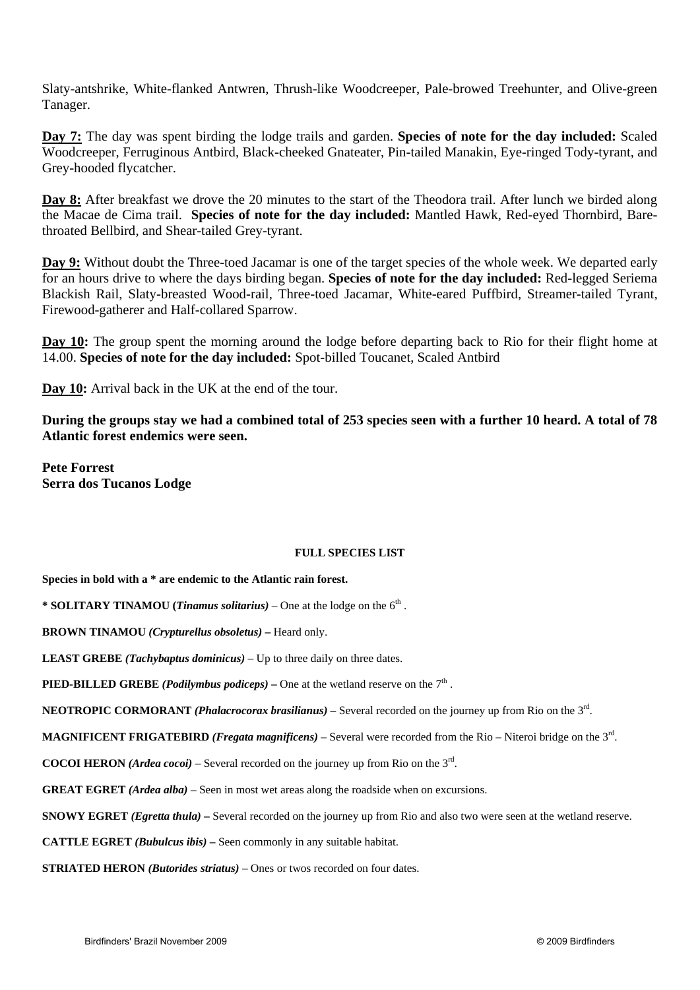Slaty-antshrike, White-flanked Antwren, Thrush-like Woodcreeper, Pale-browed Treehunter, and Olive-green Tanager.

**Day 7:** The day was spent birding the lodge trails and garden. **Species of note for the day included:** Scaled Woodcreeper, Ferruginous Antbird, Black-cheeked Gnateater, Pin-tailed Manakin, Eye-ringed Tody-tyrant, and Grey-hooded flycatcher.

**Day 8:** After breakfast we drove the 20 minutes to the start of the Theodora trail. After lunch we birded along the Macae de Cima trail. **Species of note for the day included:** Mantled Hawk, Red-eyed Thornbird, Barethroated Bellbird, and Shear-tailed Grey-tyrant.

**Day 9:** Without doubt the Three-toed Jacamar is one of the target species of the whole week. We departed early for an hours drive to where the days birding began. **Species of note for the day included:** Red-legged Seriema Blackish Rail, Slaty-breasted Wood-rail, Three-toed Jacamar, White-eared Puffbird, Streamer-tailed Tyrant, Firewood-gatherer and Half-collared Sparrow.

**Day 10:** The group spent the morning around the lodge before departing back to Rio for their flight home at 14.00. **Species of note for the day included:** Spot-billed Toucanet, Scaled Antbird

**Day 10:** Arrival back in the UK at the end of the tour.

**During the groups stay we had a combined total of 253 species seen with a further 10 heard. A total of 78 Atlantic forest endemics were seen.** 

**Pete Forrest Serra dos Tucanos Lodge** 

#### **FULL SPECIES LIST**

**Species in bold with a \* are endemic to the Atlantic rain forest.** 

**\* SOLITARY TINAMOU** (*Tinamus solitarius*) – One at the lodge on the  $6<sup>th</sup>$ .

**BROWN TINAMOU** *(Crypturellus obsoletus) –* Heard only.

**LEAST GREBE** *(Tachybaptus dominicus)* – Up to three daily on three dates.

**PIED-BILLED GREBE** *(Podilymbus podiceps)* – One at the wetland reserve on the  $7<sup>th</sup>$ .

**NEOTROPIC CORMORANT** *(Phalacrocorax brasilianus) –* Several recorded on the journey up from Rio on the 3rd.

**MAGNIFICENT FRIGATEBIRD** *(Fregata magnificens)* – Several were recorded from the Rio – Niteroi bridge on the 3rd.

**COCOI HERON** (*Ardea cocoi*) – Several recorded on the journey up from Rio on the  $3<sup>rd</sup>$ .

**GREAT EGRET** *(Ardea alba)* – Seen in most wet areas along the roadside when on excursions.

**SNOWY EGRET** *(Egretta thula)* – Several recorded on the journey up from Rio and also two were seen at the wetland reserve.

**CATTLE EGRET** *(Bubulcus ibis) –* Seen commonly in any suitable habitat.

**STRIATED HERON** *(Butorides striatus)* – Ones or twos recorded on four dates.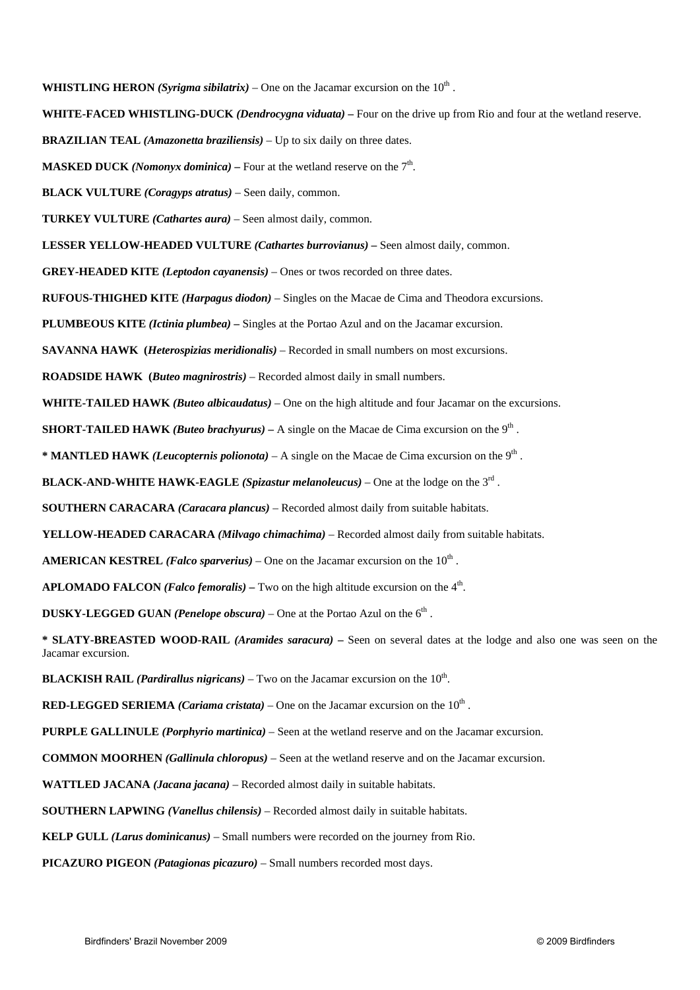**WHISTLING HERON** *(Syrigma sibilatrix)* – One on the Jacamar excursion on the  $10<sup>th</sup>$ .

**WHITE-FACED WHISTLING-DUCK** *(Dendrocygna viduata) –* Four on the drive up from Rio and four at the wetland reserve.

**BRAZILIAN TEAL** *(Amazonetta braziliensis)* – Up to six daily on three dates.

**MASKED DUCK** *(Nomonyx dominica)* – Four at the wetland reserve on the  $7<sup>th</sup>$ .

**BLACK VULTURE** *(Coragyps atratus)* – Seen daily, common.

**TURKEY VULTURE** *(Cathartes aura)* – Seen almost daily, common.

**LESSER YELLOW-HEADED VULTURE** *(Cathartes burrovianus) –* Seen almost daily, common.

**GREY-HEADED KITE** *(Leptodon cayanensis)* – Ones or twos recorded on three dates.

**RUFOUS-THIGHED KITE** *(Harpagus diodon)* – Singles on the Macae de Cima and Theodora excursions.

**PLUMBEOUS KITE** *(Ictinia plumbea) –* Singles at the Portao Azul and on the Jacamar excursion.

**SAVANNA HAWK (***Heterospizias meridionalis)* – Recorded in small numbers on most excursions.

**ROADSIDE HAWK (***Buteo magnirostris)* – Recorded almost daily in small numbers.

**WHITE-TAILED HAWK** *(Buteo albicaudatus)* – One on the high altitude and four Jacamar on the excursions.

**SHORT-TAILED HAWK** *(Buteo brachyurus)* – A single on the Macae de Cima excursion on the 9<sup>th</sup>.

**\* MANTLED HAWK** *(Leucopternis polionota)* – A single on the Macae de Cima excursion on the 9th .

**BLACK-AND-WHITE HAWK-EAGLE** *(Spizastur melanoleucus)* – One at the lodge on the  $3<sup>rd</sup>$ .

**SOUTHERN CARACARA** *(Caracara plancus)* – Recorded almost daily from suitable habitats.

**YELLOW-HEADED CARACARA** *(Milvago chimachima)* – Recorded almost daily from suitable habitats.

**AMERICAN KESTREL** *(Falco sparverius)* – One on the Jacamar excursion on the  $10<sup>th</sup>$ .

**APLOMADO FALCON** *(Falco femoralis)* – Two on the high altitude excursion on the  $4<sup>th</sup>$ .

**DUSKY-LEGGED GUAN** *(Penelope obscura)* – One at the Portao Azul on the  $6<sup>th</sup>$ .

**\* SLATY-BREASTED WOOD-RAIL** *(Aramides saracura)* **–** Seen on several dates at the lodge and also one was seen on the Jacamar excursion.

**BLACKISH RAIL** *(Pardirallus nigricans)* – Two on the Jacamar excursion on the  $10<sup>th</sup>$ .

**RED-LEGGED SERIEMA** *(Cariama cristata)* – One on the Jacamar excursion on the  $10<sup>th</sup>$ .

**PURPLE GALLINULE** *(Porphyrio martinica)* – Seen at the wetland reserve and on the Jacamar excursion.

**COMMON MOORHEN** *(Gallinula chloropus)* – Seen at the wetland reserve and on the Jacamar excursion.

**WATTLED JACANA** *(Jacana jacana)* – Recorded almost daily in suitable habitats.

 **SOUTHERN LAPWING** *(Vanellus chilensis)* – Recorded almost daily in suitable habitats.

**KELP GULL** *(Larus dominicanus)* – Small numbers were recorded on the journey from Rio.

**PICAZURO PIGEON** *(Patagionas picazuro)* – Small numbers recorded most days.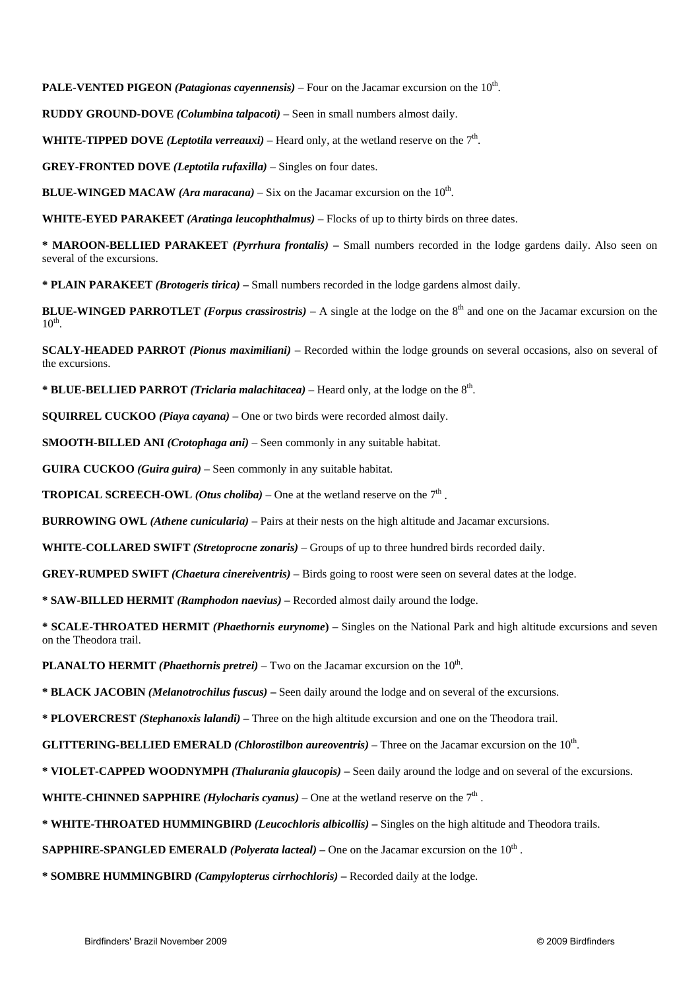**PALE-VENTED PIGEON** *(Patagionas cayennensis)* – Four on the Jacamar excursion on the 10<sup>th</sup>.

**RUDDY GROUND-DOVE** *(Columbina talpacoti)* – Seen in small numbers almost daily.

**WHITE-TIPPED DOVE** *(Leptotila verreauxi)* – Heard only, at the wetland reserve on the  $7<sup>th</sup>$ .

**GREY-FRONTED DOVE** *(Leptotila rufaxilla)* – Singles on four dates.

**BLUE-WINGED MACAW** *(Ara maracana)* – Six on the Jacamar excursion on the  $10<sup>th</sup>$ .

**WHITE-EYED PARAKEET** *(Aratinga leucophthalmus)* – Flocks of up to thirty birds on three dates.

**\* MAROON-BELLIED PARAKEET** *(Pyrrhura frontalis)* **–** Small numbers recorded in the lodge gardens daily. Also seen on several of the excursions.

**\* PLAIN PARAKEET** *(Brotogeris tirica) –* Small numbers recorded in the lodge gardens almost daily.

**BLUE-WINGED PARROTLET** *(Forpus crassirostris)* – A single at the lodge on the  $8<sup>th</sup>$  and one on the Jacamar excursion on the  $10^{th}$ .

**SCALY-HEADED PARROT** *(Pionus maximiliani)* – Recorded within the lodge grounds on several occasions, also on several of the excursions.

**\* BLUE-BELLIED PARROT** *(Triclaria malachitacea)* – Heard only, at the lodge on the 8th.

**SQUIRREL CUCKOO** *(Piaya cayana)* – One or two birds were recorded almost daily.

**SMOOTH-BILLED ANI** *(Crotophaga ani)* – Seen commonly in any suitable habitat.

**GUIRA CUCKOO** *(Guira guira)* – Seen commonly in any suitable habitat.

**TROPICAL SCREECH-OWL** *(Otus choliba)* – One at the wetland reserve on the  $7<sup>th</sup>$ .

**BURROWING OWL** *(Athene cunicularia)* – Pairs at their nests on the high altitude and Jacamar excursions.

**WHITE-COLLARED SWIFT** *(Stretoprocne zonaris)* – Groups of up to three hundred birds recorded daily.

**GREY-RUMPED SWIFT** *(Chaetura cinereiventris)* – Birds going to roost were seen on several dates at the lodge.

**\* SAW-BILLED HERMIT** *(Ramphodon naevius)* **–** Recorded almost daily around the lodge.

**\* SCALE-THROATED HERMIT** *(Phaethornis eurynome***) –** Singles on the National Park and high altitude excursions and seven on the Theodora trail.

**PLANALTO HERMIT** *(Phaethornis pretrei)* – Two on the Jacamar excursion on the  $10<sup>th</sup>$ .

**\* BLACK JACOBIN** *(Melanotrochilus fuscus)* **–** Seen daily around the lodge and on several of the excursions.

**\* PLOVERCREST** *(Stephanoxis lalandi)* **–** Three on the high altitude excursion and one on the Theodora trail.

**GLITTERING-BELLIED EMERALD** *(Chlorostilbon aureoventris)* – Three on the Jacamar excursion on the 10<sup>th</sup>.

**\* VIOLET-CAPPED WOODNYMPH** *(Thalurania glaucopis)* **–** Seen daily around the lodge and on several of the excursions.

**WHITE-CHINNED SAPPHIRE** *(Hylocharis cyanus)* – One at the wetland reserve on the  $7<sup>th</sup>$ .

**\* WHITE-THROATED HUMMINGBIRD** *(Leucochloris albicollis) –* Singles on the high altitude and Theodora trails.

**SAPPHIRE-SPANGLED EMERALD** *(Polyerata lacteal)* – One on the Jacamar excursion on the  $10<sup>th</sup>$ .

**\* SOMBRE HUMMINGBIRD** *(Campylopterus cirrhochloris)* **–** Recorded daily at the lodge.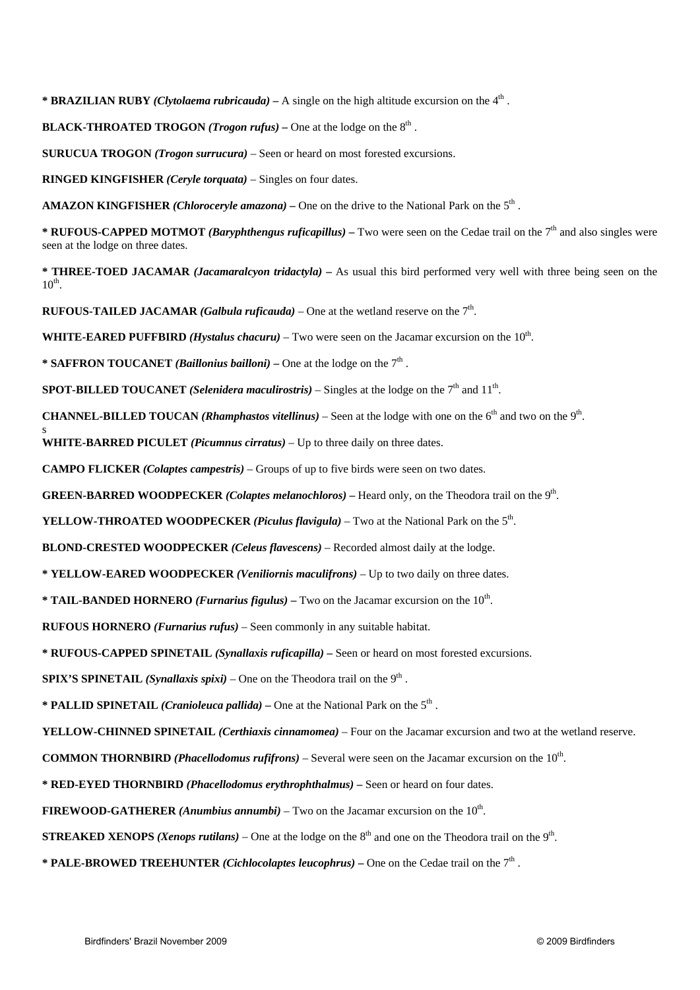**\* BRAZILIAN RUBY** *(Clytolaema rubricauda) –* A single on the high altitude excursion on the 4th .

**BLACK-THROATED TROGON** *(Trogon rufus)* – One at the lodge on the  $8<sup>th</sup>$ .

**SURUCUA TROGON** *(Trogon surrucura)* – Seen or heard on most forested excursions.

**RINGED KINGFISHER** *(Ceryle torquata)* – Singles on four dates.

AMAZON KINGFISHER *(Chloroceryle amazona)* – One on the drive to the National Park on the 5<sup>th</sup>.

**\* RUFOUS-CAPPED MOTMOT** *(Baryphthengus ruficapillus)* **–** Two were seen on the Cedae trail on the 7th and also singles were seen at the lodge on three dates.

**\* THREE-TOED JACAMAR** *(Jacamaralcyon tridactyla)* **–** As usual this bird performed very well with three being seen on the  $10^{\text{th}}$ 

**RUFOUS-TAILED JACAMAR** *(Galbula ruficauda)* – One at the wetland reserve on the  $7<sup>th</sup>$ .

**WHITE-EARED PUFFBIRD** *(Hystalus chacuru)* – Two were seen on the Jacamar excursion on the  $10<sup>th</sup>$ .

**\* SAFFRON TOUCANET** *(Baillonius bailloni)* – One at the lodge on the  $7<sup>th</sup>$ .

s

**SPOT-BILLED TOUCANET** *(Selenidera maculirostris)* – Singles at the lodge on the  $7<sup>th</sup>$  and  $11<sup>th</sup>$ .

**CHANNEL-BILLED TOUCAN** *(Rhamphastos vitellinus)* – Seen at the lodge with one on the  $6<sup>th</sup>$  and two on the  $9<sup>th</sup>$ .

**WHITE-BARRED PICULET** *(Picumnus cirratus)* – Up to three daily on three dates.

**CAMPO FLICKER** *(Colaptes campestris)* – Groups of up to five birds were seen on two dates.

**GREEN-BARRED WOODPECKER** *(Colaptes melanochloros)* – Heard only, on the Theodora trail on the 9<sup>th</sup>.

**YELLOW-THROATED WOODPECKER** *(Piculus flavigula)* – Two at the National Park on the  $5<sup>th</sup>$ .

**BLOND-CRESTED WOODPECKER** *(Celeus flavescens)* – Recorded almost daily at the lodge.

**\* YELLOW-EARED WOODPECKER** *(Veniliornis maculifrons)* – Up to two daily on three dates.

**\* TAIL-BANDED HORNERO** *(Furnarius figulus)* **–** Two on the Jacamar excursion on the 10th.

**RUFOUS HORNERO** *(Furnarius rufus)* – Seen commonly in any suitable habitat.

**\* RUFOUS-CAPPED SPINETAIL** *(Synallaxis ruficapilla) –* Seen or heard on most forested excursions.

**SPIX'S SPINETAIL** *(Synallaxis spixi)* – One on the Theodora trail on the  $9<sup>th</sup>$ .

**\* PALLID SPINETAIL** *(Cranioleuca pallida)* **–** One at the National Park on the 5th .

**YELLOW-CHINNED SPINETAIL** *(Certhiaxis cinnamomea)* – Four on the Jacamar excursion and two at the wetland reserve.

**COMMON THORNBIRD** *(Phacellodomus rufifrons)* – Several were seen on the Jacamar excursion on the 10th.

**\* RED-EYED THORNBIRD** *(Phacellodomus erythrophthalmus)* **–** Seen or heard on four dates.

**FIREWOOD-GATHERER** (Anumbius annumbi) – Two on the Jacamar excursion on the  $10<sup>th</sup>$ .

**STREAKED XENOPS** (*Xenops rutilans*) – One at the lodge on the 8<sup>th</sup> and one on the Theodora trail on the 9<sup>th</sup>.

**\* PALE-BROWED TREEHUNTER** *(Cichlocolaptes leucophrus)* **–** One on the Cedae trail on the 7th .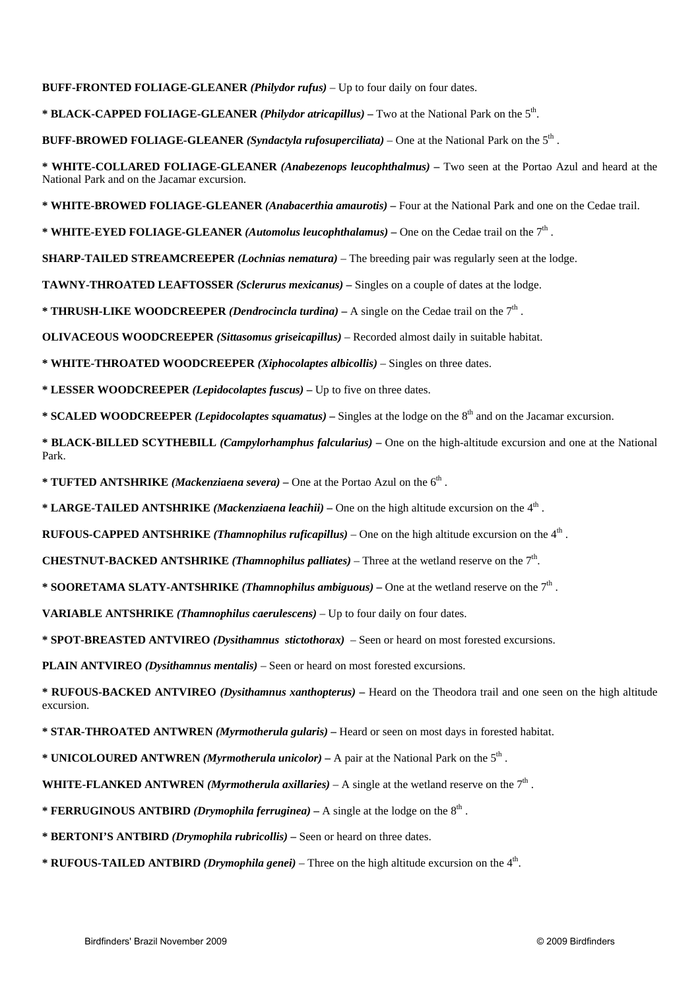**BUFF-FRONTED FOLIAGE-GLEANER** *(Philydor rufus)* – Up to four daily on four dates.

**\* BLACK-CAPPED FOLIAGE-GLEANER** *(Philydor atricapillus)* **–** Two at the National Park on the 5th.

**BUFF-BROWED FOLIAGE-GLEANER** *(Syndactyla rufosuperciliata)* – One at the National Park on the 5th .

**\* WHITE-COLLARED FOLIAGE-GLEANER** *(Anabezenops leucophthalmus) –* Two seen at the Portao Azul and heard at the National Park and on the Jacamar excursion.

**\* WHITE-BROWED FOLIAGE-GLEANER** *(Anabacerthia amaurotis)* **–** Four at the National Park and one on the Cedae trail.

**\* WHITE-EYED FOLIAGE-GLEANER** *(Automolus leucophthalamus) –* One on the Cedae trail on the 7th .

**SHARP-TAILED STREAMCREEPER** *(Lochnias nematura)* – The breeding pair was regularly seen at the lodge.

**TAWNY-THROATED LEAFTOSSER** *(Sclerurus mexicanus) –* Singles on a couple of dates at the lodge.

**\* THRUSH-LIKE WOODCREEPER** *(Dendrocincla turdina)* **–** A single on the Cedae trail on the 7th .

**OLIVACEOUS WOODCREEPER** *(Sittasomus griseicapillus)* – Recorded almost daily in suitable habitat.

**\* WHITE-THROATED WOODCREEPER** *(Xiphocolaptes albicollis)* – Singles on three dates.

**\* LESSER WOODCREEPER** *(Lepidocolaptes fuscus)* **–** Up to five on three dates.

**\* SCALED WOODCREEPER** *(Lepidocolaptes squamatus)* – Singles at the lodge on the 8<sup>th</sup> and on the Jacamar excursion.

**\* BLACK-BILLED SCYTHEBILL** *(Campylorhamphus falcularius)* **–** One on the high-altitude excursion and one at the National Park.

\* **TUFTED ANTSHRIKE** *(Mackenziaena severa)* – One at the Portao Azul on the 6<sup>th</sup>.

**\* LARGE-TAILED ANTSHRIKE** *(Mackenziaena leachii) –* One on the high altitude excursion on the 4th .

**RUFOUS-CAPPED ANTSHRIKE** *(Thamnophilus ruficapillus)* – One on the high altitude excursion on the  $4<sup>th</sup>$ .

**CHESTNUT-BACKED ANTSHRIKE** *(Thamnophilus palliates)* – Three at the wetland reserve on the  $7<sup>th</sup>$ .

**\* SOORETAMA SLATY-ANTSHRIKE** *(Thamnophilus ambiguous)* **–** One at the wetland reserve on the 7th .

**VARIABLE ANTSHRIKE** *(Thamnophilus caerulescens)* – Up to four daily on four dates.

**\* SPOT-BREASTED ANTVIREO** *(Dysithamnus stictothorax) –* Seen or heard on most forested excursions.

**PLAIN ANTVIREO** *(Dysithamnus mentalis) –* Seen or heard on most forested excursions.

**\* RUFOUS-BACKED ANTVIREO** *(Dysithamnus xanthopterus)* **–** Heard on the Theodora trail and one seen on the high altitude excursion.

**\* STAR-THROATED ANTWREN** *(Myrmotherula gularis)* **–** Heard or seen on most days in forested habitat.

**\* UNICOLOURED ANTWREN** *(Myrmotherula unicolor) –* A pair at the National Park on the 5th .

**WHITE-FLANKED ANTWREN** *(Myrmotherula axillaries)* – A single at the wetland reserve on the  $7<sup>th</sup>$ .

**\* FERRUGINOUS ANTBIRD** *(Drymophila ferruginea)* – A single at the lodge on the  $8<sup>th</sup>$ .

**\* BERTONI'S ANTBIRD** *(Drymophila rubricollis) –* Seen or heard on three dates.

**\* RUFOUS-TAILED ANTBIRD** *(Drymophila genei)* – Three on the high altitude excursion on the  $4<sup>th</sup>$ .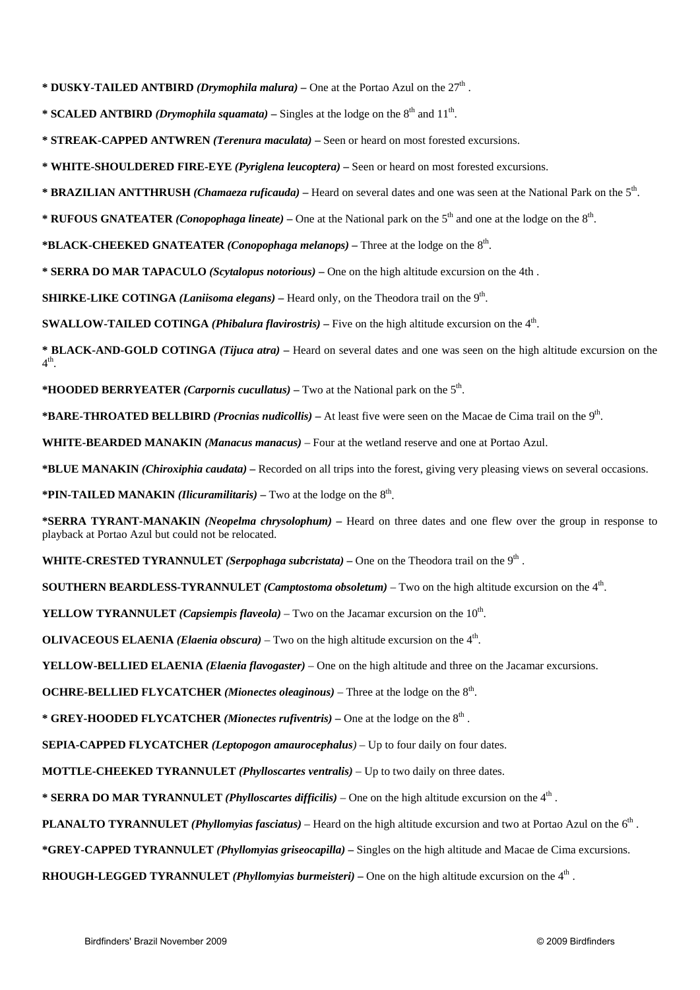\* **DUSKY-TAILED ANTBIRD** *(Drymophila malura)* – One at the Portao Azul on the 27<sup>th</sup>.

**\* SCALED ANTBIRD** *(Drymophila squamata)* – Singles at the lodge on the  $8<sup>th</sup>$  and  $11<sup>th</sup>$ .

**\* STREAK-CAPPED ANTWREN** *(Terenura maculata)* **–** Seen or heard on most forested excursions.

**\* WHITE-SHOULDERED FIRE-EYE** *(Pyriglena leucoptera) –* Seen or heard on most forested excursions.

**\* BRAZILIAN ANTTHRUSH** *(Chamaeza ruficauda)* **–** Heard on several dates and one was seen at the National Park on the 5th.

\* **RUFOUS GNATEATER** *(Conopophaga lineate)* – One at the National park on the 5<sup>th</sup> and one at the lodge on the  $8<sup>th</sup>$ .

**\*BLACK-CHEEKED GNATEATER** *(Conopophaga melanops)* **–** Three at the lodge on the 8th.

**\* SERRA DO MAR TAPACULO** *(Scytalopus notorious)* **–** One on the high altitude excursion on the 4th .

**SHIRKE-LIKE COTINGA** *(Laniisoma elegans)* – Heard only, on the Theodora trail on the 9<sup>th</sup>.

**SWALLOW-TAILED COTINGA** *(Phibalura flavirostris)* – Five on the high altitude excursion on the  $4<sup>th</sup>$ .

**\* BLACK-AND-GOLD COTINGA** *(Tijuca atra)* **–** Heard on several dates and one was seen on the high altitude excursion on the  $4<sup>th</sup>$ 

\***HOODED BERRYEATER** *(Carpornis cucullatus)* – Two at the National park on the  $5<sup>th</sup>$ .

**\*BARE-THROATED BELLBIRD** *(Procnias nudicollis)* **–** At least five were seen on the Macae de Cima trail on the 9th.

**WHITE-BEARDED MANAKIN** *(Manacus manacus)* – Four at the wetland reserve and one at Portao Azul.

**\*BLUE MANAKIN** *(Chiroxiphia caudata)* **–** Recorded on all trips into the forest, giving very pleasing views on several occasions.

**\*PIN-TAILED MANAKIN** *(Ilicuramilitaris)* – Two at the lodge on the  $8<sup>th</sup>$ .

**\*SERRA TYRANT-MANAKIN** *(Neopelma chrysolophum)* **–** Heard on three dates and one flew over the group in response to playback at Portao Azul but could not be relocated.

**WHITE-CRESTED TYRANNULET** *(Serpophaga subcristata) –* One on the Theodora trail on the 9th .

**SOUTHERN BEARDLESS-TYRANNULET** *(Camptostoma obsoletum)* – Two on the high altitude excursion on the 4th.

**YELLOW TYRANNULET** *(Capsiempis flaveola)* – Two on the Jacamar excursion on the  $10<sup>th</sup>$ .

**OLIVACEOUS ELAENIA** *(Elaenia obscura)* – Two on the high altitude excursion on the  $4<sup>th</sup>$ .

**YELLOW-BELLIED ELAENIA** *(Elaenia flavogaster)* – One on the high altitude and three on the Jacamar excursions.

**OCHRE-BELLIED FLYCATCHER** *(Mionectes oleaginous) –* Three at the lodge on the 8th.

\* **GREY-HOODED FLYCATCHER** *(Mionectes rufiventris)* – One at the lodge on the 8<sup>th</sup>.

**SEPIA-CAPPED FLYCATCHER** *(Leptopogon amaurocephalus)* – Up to four daily on four dates.

**MOTTLE-CHEEKED TYRANNULET** *(Phylloscartes ventralis)* – Up to two daily on three dates.

**\* SERRA DO MAR TYRANNULET** *(Phylloscartes difficilis)* – One on the high altitude excursion on the 4th .

**PLANALTO TYRANNULET** *(Phyllomyias fasciatus)* – Heard on the high altitude excursion and two at Portao Azul on the 6<sup>th</sup>.

**\*GREY-CAPPED TYRANNULET** *(Phyllomyias griseocapilla)* **–** Singles on the high altitude and Macae de Cima excursions.

**RHOUGH-LEGGED TYRANNULET** *(Phyllomyias burmeisteri)* **– One on the high altitude excursion on the 4<sup>th</sup>.**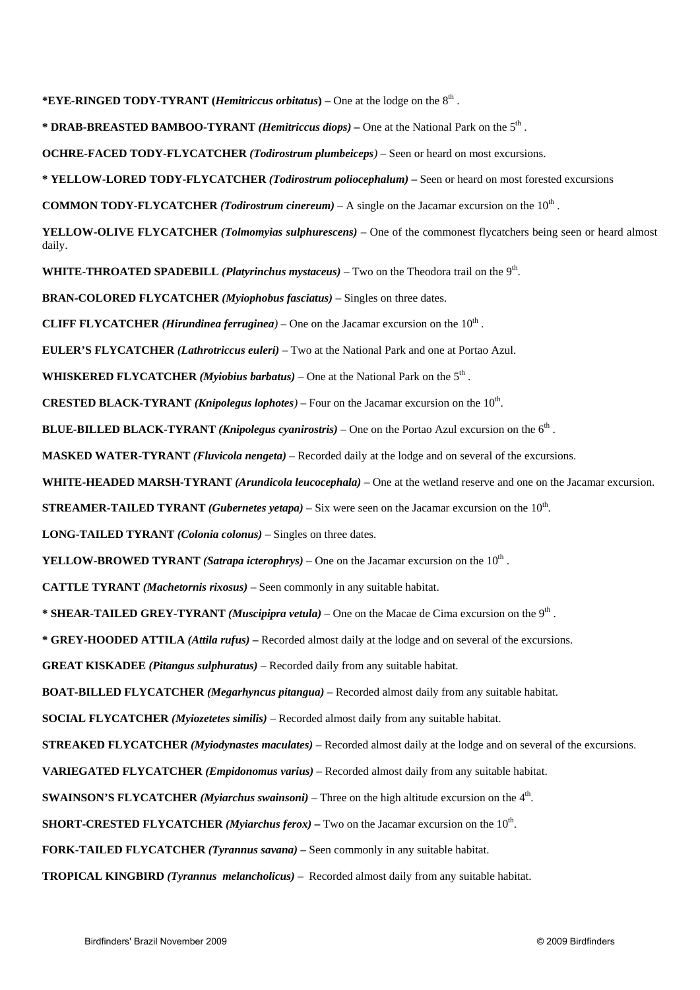**\*EYE-RINGED TODY-TYRANT (***Hemitriccus orbitatus***) –** One at the lodge on the 8th .

**\* DRAB-BREASTED BAMBOO-TYRANT** *(Hemitriccus diops) –* One at the National Park on the 5th .

**OCHRE-FACED TODY-FLYCATCHER** *(Todirostrum plumbeiceps)* – Seen or heard on most excursions.

**\* YELLOW-LORED TODY-FLYCATCHER** *(Todirostrum poliocephalum)* **–** Seen or heard on most forested excursions

**COMMON TODY-FLYCATCHER** *(Todirostrum cinereum)* – A single on the Jacamar excursion on the  $10<sup>th</sup>$ .

**YELLOW-OLIVE FLYCATCHER** *(Tolmomyias sulphurescens)* – One of the commonest flycatchers being seen or heard almost daily.

**WHITE-THROATED SPADEBILL** *(Platyrinchus mystaceus)* – Two on the Theodora trail on the 9th.

**BRAN-COLORED FLYCATCHER** *(Myiophobus fasciatus) –* Singles on three dates.

**CLIFF FLYCATCHER** *(Hirundinea ferruginea*) – One on the Jacamar excursion on the  $10<sup>th</sup>$ .

**EULER'S FLYCATCHER** *(Lathrotriccus euleri)* – Two at the National Park and one at Portao Azul.

**WHISKERED FLYCATCHER** *(Myiobius barbatus)* – One at the National Park on the  $5<sup>th</sup>$ .

**CRESTED BLACK-TYRANT** *(Knipolegus lophotes)* – Four on the Jacamar excursion on the  $10<sup>th</sup>$ .

**BLUE-BILLED BLACK-TYRANT** *(Knipolegus cyanirostris)* – One on the Portao Azul excursion on the 6th .

**MASKED WATER-TYRANT** *(Fluvicola nengeta)* – Recorded daily at the lodge and on several of the excursions.

**WHITE-HEADED MARSH-TYRANT** *(Arundicola leucocephala)* – One at the wetland reserve and one on the Jacamar excursion.

**STREAMER-TAILED TYRANT** *(Gubernetes yetapa)* – Six were seen on the Jacamar excursion on the 10<sup>th</sup>.

**LONG-TAILED TYRANT** *(Colonia colonus)* – Singles on three dates.

**YELLOW-BROWED TYRANT** *(Satrapa icterophrys)* – One on the Jacamar excursion on the  $10^{th}$ .

**CATTLE TYRANT** *(Machetornis rixosus)* – Seen commonly in any suitable habitat.

**\* SHEAR-TAILED GREY-TYRANT** *(Muscipipra vetula)* – One on the Macae de Cima excursion on the 9th .

**\* GREY-HOODED ATTILA** *(Attila rufus) –* Recorded almost daily at the lodge and on several of the excursions.

**GREAT KISKADEE** *(Pitangus sulphuratus)* – Recorded daily from any suitable habitat.

**BOAT-BILLED FLYCATCHER** *(Megarhyncus pitangua)* – Recorded almost daily from any suitable habitat.

**SOCIAL FLYCATCHER** *(Myiozetetes similis)* – Recorded almost daily from any suitable habitat.

**STREAKED FLYCATCHER** *(Myiodynastes maculates)* – Recorded almost daily at the lodge and on several of the excursions.

**VARIEGATED FLYCATCHER** *(Empidonomus varius)* – Recorded almost daily from any suitable habitat.

**SWAINSON'S FLYCATCHER** *(Myiarchus swainsoni)* – Three on the high altitude excursion on the 4th.

**SHORT-CRESTED FLYCATCHER** *(Myiarchus ferox)* – Two on the Jacamar excursion on the  $10<sup>th</sup>$ .

**FORK-TAILED FLYCATCHER** *(Tyrannus savana) –* Seen commonly in any suitable habitat.

**TROPICAL KINGBIRD** *(Tyrannus melancholicus)* – Recorded almost daily from any suitable habitat.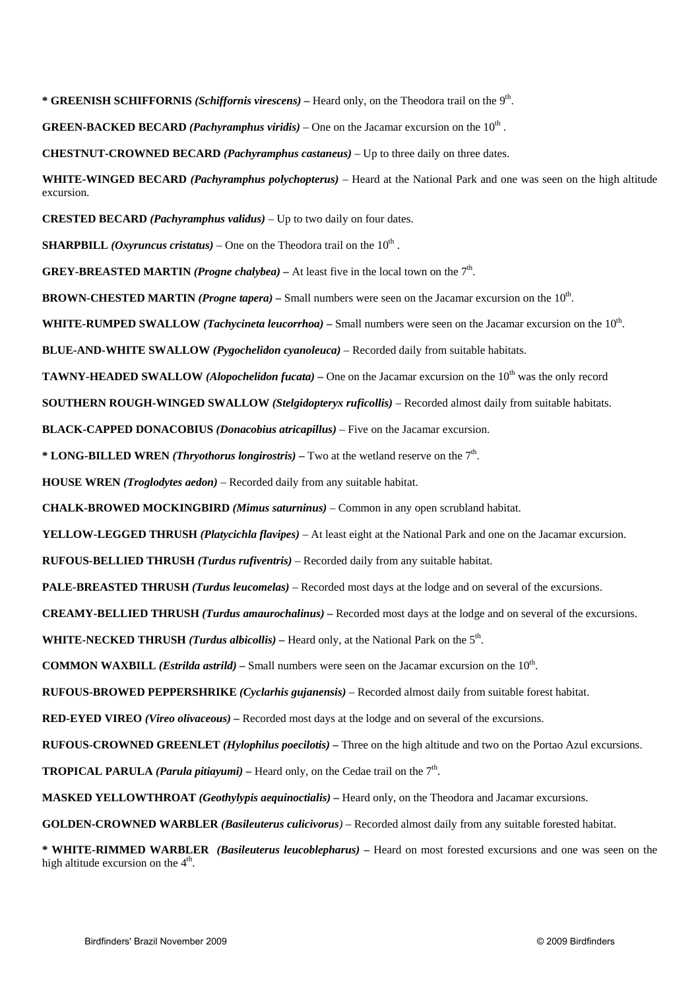**\* GREENISH SCHIFFORNIS** *(Schiffornis virescens)* **–** Heard only, on the Theodora trail on the 9th.

**GREEN-BACKED BECARD** *(Pachyramphus viridis)* – One on the Jacamar excursion on the  $10^{th}$ .

**CHESTNUT-CROWNED BECARD** *(Pachyramphus castaneus)* – Up to three daily on three dates.

**WHITE-WINGED BECARD** *(Pachyramphus polychopterus)* – Heard at the National Park and one was seen on the high altitude excursion.

**CRESTED BECARD** *(Pachyramphus validus)* – Up to two daily on four dates.

**SHARPBILL** *(Oxyruncus cristatus)* – One on the Theodora trail on the  $10^{th}$ .

**GREY-BREASTED MARTIN** *(Progne chalybea) –* At least five in the local town on the 7th.

**BROWN-CHESTED MARTIN** *(Progne tapera) –* Small numbers were seen on the Jacamar excursion on the 10th.

**WHITE-RUMPED SWALLOW** *(Tachycineta leucorrhoa)* – Small numbers were seen on the Jacamar excursion on the 10<sup>th</sup>.

**BLUE-AND-WHITE SWALLOW** *(Pygochelidon cyanoleuca)* – Recorded daily from suitable habitats.

**TAWNY-HEADED SWALLOW** *(Alopochelidon fucata)* – One on the Jacamar excursion on the 10<sup>th</sup> was the only record

**SOUTHERN ROUGH-WINGED SWALLOW** *(Stelgidopteryx ruficollis)* – Recorded almost daily from suitable habitats.

**BLACK-CAPPED DONACOBIUS** *(Donacobius atricapillus)* – Five on the Jacamar excursion.

**\* LONG-BILLED WREN** *(Thryothorus longirostris)* – Two at the wetland reserve on the  $7<sup>th</sup>$ .

**HOUSE WREN** *(Troglodytes aedon)* – Recorded daily from any suitable habitat.

**CHALK-BROWED MOCKINGBIRD** *(Mimus saturninus)* – Common in any open scrubland habitat.

**YELLOW-LEGGED THRUSH** *(Platycichla flavipes)* – At least eight at the National Park and one on the Jacamar excursion.

**RUFOUS-BELLIED THRUSH** *(Turdus rufiventris)* – Recorded daily from any suitable habitat.

**PALE-BREASTED THRUSH** *(Turdus leucomelas)* – Recorded most days at the lodge and on several of the excursions.

**CREAMY-BELLIED THRUSH** *(Turdus amaurochalinus) –* Recorded most days at the lodge and on several of the excursions.

**WHITE-NECKED THRUSH** *(Turdus albicollis)* **–** Heard only, at the National Park on the 5th.

**COMMON WAXBILL** *(Estrilda astrild)* – Small numbers were seen on the Jacamar excursion on the  $10^{th}$ .

**RUFOUS-BROWED PEPPERSHRIKE** *(Cyclarhis gujanensis)* – Recorded almost daily from suitable forest habitat.

**RED-EYED VIREO** *(Vireo olivaceous) –* Recorded most days at the lodge and on several of the excursions.

**RUFOUS-CROWNED GREENLET** *(Hylophilus poecilotis) –* Three on the high altitude and two on the Portao Azul excursions.

**TROPICAL PARULA** *(Parula pitiayumi)* – Heard only, on the Cedae trail on the  $7<sup>th</sup>$ .

**MASKED YELLOWTHROAT** *(Geothylypis aequinoctialis) –* Heard only, on the Theodora and Jacamar excursions.

**GOLDEN-CROWNED WARBLER** *(Basileuterus culicivorus)* – Recorded almost daily from any suitable forested habitat.

**\* WHITE-RIMMED WARBLER** *(Basileuterus leucoblepharus)* **–** Heard on most forested excursions and one was seen on the high altitude excursion on the  $4<sup>th</sup>$ .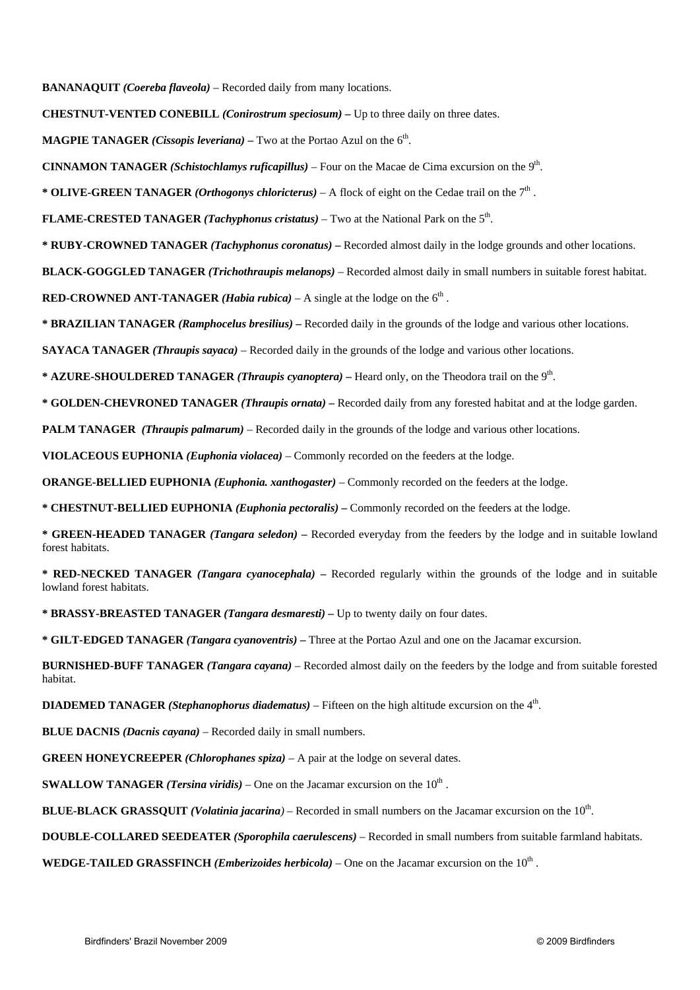**BANANAQUIT** *(Coereba flaveola)* – Recorded daily from many locations.

**CHESTNUT-VENTED CONEBILL** *(Conirostrum speciosum) –* Up to three daily on three dates.

**MAGPIE TANAGER** *(Cissopis leveriana)* – Two at the Portao Azul on the  $6<sup>th</sup>$ .

**CINNAMON TANAGER** *(Schistochlamys ruficapillus)* – Four on the Macae de Cima excursion on the 9th.

**\* OLIVE-GREEN TANAGER** *(Orthogonys chloricterus)* – A flock of eight on the Cedae trail on the 7th .

**FLAME-CRESTED TANAGER** *(Tachyphonus cristatus)* – Two at the National Park on the 5th.

**\* RUBY-CROWNED TANAGER** *(Tachyphonus coronatus) –* Recorded almost daily in the lodge grounds and other locations.

**BLACK-GOGGLED TANAGER** *(Trichothraupis melanops)* – Recorded almost daily in small numbers in suitable forest habitat.

**RED-CROWNED ANT-TANAGER** *(Habia rubica)* – A single at the lodge on the  $6<sup>th</sup>$ .

**\* BRAZILIAN TANAGER** *(Ramphocelus bresilius)* **–** Recorded daily in the grounds of the lodge and various other locations.

**SAYACA TANAGER** *(Thraupis sayaca)* – Recorded daily in the grounds of the lodge and various other locations.

**\* AZURE-SHOULDERED TANAGER** *(Thraupis cyanoptera)* **–** Heard only, on the Theodora trail on the 9th.

**\* GOLDEN-CHEVRONED TANAGER** *(Thraupis ornata) –* Recorded daily from any forested habitat and at the lodge garden.

**PALM TANAGER** *(Thraupis palmarum)* – Recorded daily in the grounds of the lodge and various other locations.

**VIOLACEOUS EUPHONIA** *(Euphonia violacea)* – Commonly recorded on the feeders at the lodge.

**ORANGE-BELLIED EUPHONIA** *(Euphonia. xanthogaster)* – Commonly recorded on the feeders at the lodge.

**\* CHESTNUT-BELLIED EUPHONIA** *(Euphonia pectoralis)* **–** Commonly recorded on the feeders at the lodge.

**\* GREEN-HEADED TANAGER** *(Tangara seledon) –* Recorded everyday from the feeders by the lodge and in suitable lowland forest habitats.

**\* RED-NECKED TANAGER** *(Tangara cyanocephala)* **–** Recorded regularly within the grounds of the lodge and in suitable lowland forest habitats.

**\* BRASSY-BREASTED TANAGER** *(Tangara desmaresti)* **–** Up to twenty daily on four dates.

**\* GILT-EDGED TANAGER** *(Tangara cyanoventris) –* Three at the Portao Azul and one on the Jacamar excursion.

**BURNISHED-BUFF TANAGER** *(Tangara cayana)* – Recorded almost daily on the feeders by the lodge and from suitable forested habitat.

**DIADEMED TANAGER** *(Stephanophorus diadematus)* – Fifteen on the high altitude excursion on the 4th.

**BLUE DACNIS** *(Dacnis cayana)* – Recorded daily in small numbers.

**GREEN HONEYCREEPER** *(Chlorophanes spiza)* – A pair at the lodge on several dates.

**SWALLOW TANAGER** *(Tersina viridis)* – One on the Jacamar excursion on the  $10<sup>th</sup>$ .

**BLUE-BLACK GRASSQUIT** *(Volatinia jacarina)* – Recorded in small numbers on the Jacamar excursion on the 10<sup>th</sup>.

**DOUBLE-COLLARED SEEDEATER** *(Sporophila caerulescens)* – Recorded in small numbers from suitable farmland habitats.

**WEDGE-TAILED GRASSFINCH** *(Emberizoides herbicola)* – One on the Jacamar excursion on the  $10<sup>th</sup>$ .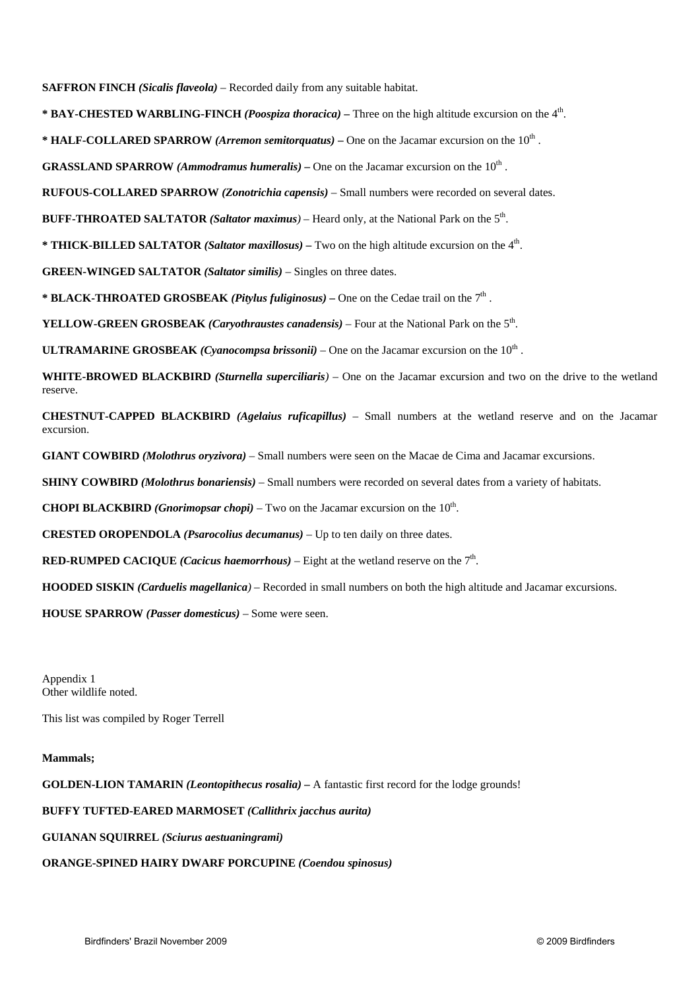**SAFFRON FINCH** *(Sicalis flaveola)* – Recorded daily from any suitable habitat.

**\* BAY-CHESTED WARBLING-FINCH** *(Poospiza thoracica) –* Three on the high altitude excursion on the 4th.

**\* HALF-COLLARED SPARROW** *(Arremon semitorquatus)* **–** One on the Jacamar excursion on the 10th .

**GRASSLAND SPARROW** *(Ammodramus humeralis)* – One on the Jacamar excursion on the  $10<sup>th</sup>$ .

**RUFOUS-COLLARED SPARROW** *(Zonotrichia capensis)* – Small numbers were recorded on several dates.

**BUFF-THROATED SALTATOR** *(Saltator maximus)* – Heard only, at the National Park on the 5th.

**\* THICK-BILLED SALTATOR** *(Saltator maxillosus) –* Two on the high altitude excursion on the 4th.

**GREEN-WINGED SALTATOR** *(Saltator similis)* – Singles on three dates.

**\* BLACK-THROATED GROSBEAK** *(Pitylus fuliginosus)* **–** One on the Cedae trail on the 7th .

**YELLOW-GREEN GROSBEAK** *(Caryothraustes canadensis)* – Four at the National Park on the 5th.

**ULTRAMARINE GROSBEAK** *(Cyanocompsa brissonii)* – One on the Jacamar excursion on the  $10<sup>th</sup>$ .

**WHITE-BROWED BLACKBIRD** *(Sturnella superciliaris)* – One on the Jacamar excursion and two on the drive to the wetland reserve.

**CHESTNUT-CAPPED BLACKBIRD** *(Agelaius ruficapillus)* – Small numbers at the wetland reserve and on the Jacamar excursion.

**GIANT COWBIRD** *(Molothrus oryzivora)* – Small numbers were seen on the Macae de Cima and Jacamar excursions.

**SHINY COWBIRD** *(Molothrus bonariensis)* – Small numbers were recorded on several dates from a variety of habitats.

**CHOPI BLACKBIRD** *(Gnorimopsar chopi)* – Two on the Jacamar excursion on the  $10<sup>th</sup>$ .

**CRESTED OROPENDOLA** *(Psarocolius decumanus)* – Up to ten daily on three dates.

**RED-RUMPED CACIQUE** *(Cacicus haemorrhous)* – Eight at the wetland reserve on the  $7<sup>th</sup>$ .

**HOODED SISKIN** *(Carduelis magellanica)* – Recorded in small numbers on both the high altitude and Jacamar excursions.

**HOUSE SPARROW** *(Passer domesticus)* – Some were seen.

Appendix 1 Other wildlife noted.

This list was compiled by Roger Terrell

#### **Mammals;**

**GOLDEN-LION TAMARIN** *(Leontopithecus rosalia) –* A fantastic first record for the lodge grounds!

#### **BUFFY TUFTED-EARED MARMOSET** *(Callithrix jacchus aurita)*

**GUIANAN SQUIRREL** *(Sciurus aestuaningrami)* 

#### **ORANGE-SPINED HAIRY DWARF PORCUPINE** *(Coendou spinosus)*